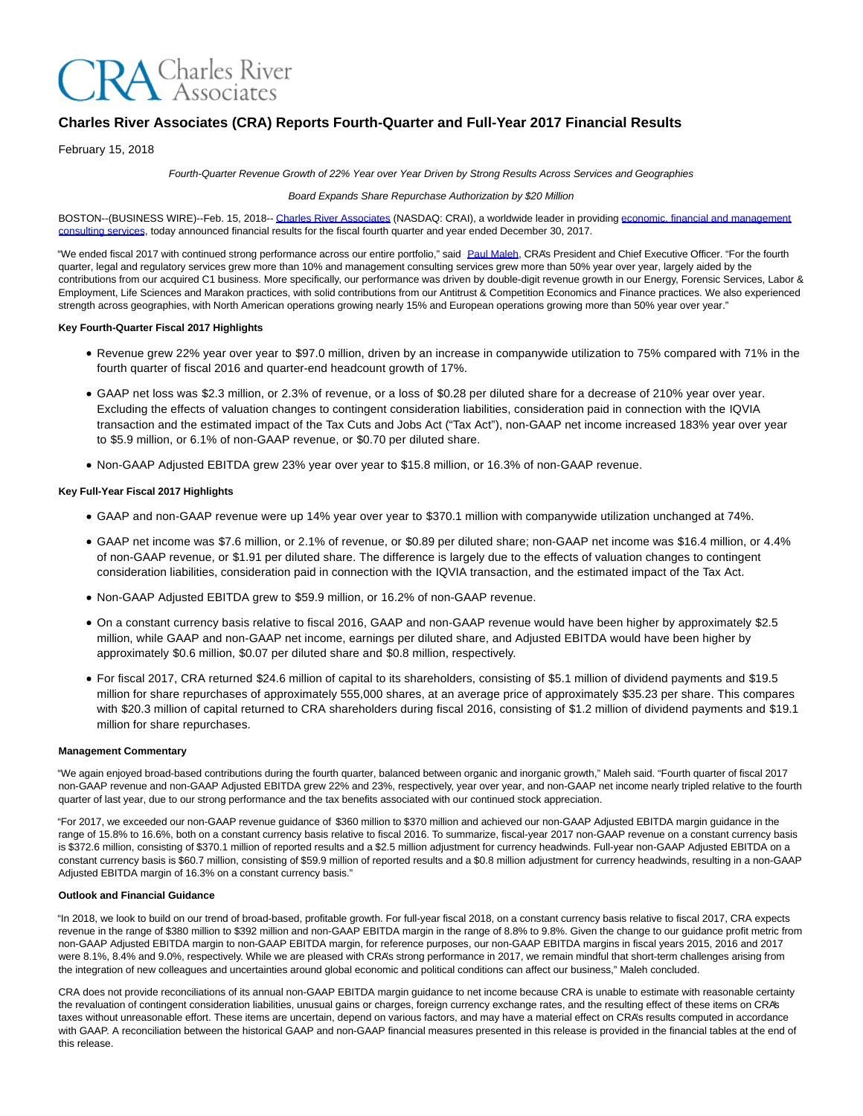

# **Charles River Associates (CRA) Reports Fourth-Quarter and Full-Year 2017 Financial Results**

February 15, 2018

Fourth-Quarter Revenue Growth of 22% Year over Year Driven by Strong Results Across Services and Geographies

#### Board Expands Share Repurchase Authorization by \$20 Million

BOSTON--(BUSINESS WIRE)--Feb. 15, 2018-[- Charles River Associates \(](http://cts.businesswire.com/ct/CT?id=smartlink&url=http%3A%2F%2Fwww.crai.com%2FDefault.aspx&esheet=51759166&newsitemid=20180215005606&lan=en-US&anchor=Charles+River+Associates&index=1&md5=1e4d0a29d1379186bff76105394f40c7)NASDAQ: CRAI), a worldwide leader in providin[g economic, financial and management](http://cts.businesswire.com/ct/CT?id=smartlink&url=http%3A%2F%2Fwww.crai.com%2FConsultingExpertise%2FDefaultCustom.aspx&esheet=51759166&newsitemid=20180215005606&lan=en-US&anchor=economic%2C+financial+and+management+consulting+services&index=2&md5=596f960b9f26a8177a1d84ca0e828f7a) consulting services, today announced financial results for the fiscal fourth quarter and year ended December 30, 2017.

"We ended fiscal 2017 with continued strong performance across our entire portfolio," said [Paul Maleh,](http://cts.businesswire.com/ct/CT?id=smartlink&url=http%3A%2F%2Fwww.crai.com%2Fexpert%2Fpaul-maleh&esheet=51759166&newsitemid=20180215005606&lan=en-US&anchor=Paul+Maleh&index=3&md5=12af5825d032fd59e50a1d728ce37cb2) CRA's President and Chief Executive Officer. "For the fourth quarter, legal and regulatory services grew more than 10% and management consulting services grew more than 50% year over year, largely aided by the contributions from our acquired C1 business. More specifically, our performance was driven by double-digit revenue growth in our Energy, Forensic Services, Labor & Employment, Life Sciences and Marakon practices, with solid contributions from our Antitrust & Competition Economics and Finance practices. We also experienced strength across geographies, with North American operations growing nearly 15% and European operations growing more than 50% year over year."

### **Key Fourth-Quarter Fiscal 2017 Highlights**

- Revenue grew 22% year over year to \$97.0 million, driven by an increase in companywide utilization to 75% compared with 71% in the fourth quarter of fiscal 2016 and quarter-end headcount growth of 17%.
- GAAP net loss was \$2.3 million, or 2.3% of revenue, or a loss of \$0.28 per diluted share for a decrease of 210% year over year. Excluding the effects of valuation changes to contingent consideration liabilities, consideration paid in connection with the IQVIA transaction and the estimated impact of the Tax Cuts and Jobs Act ("Tax Act"), non-GAAP net income increased 183% year over year to \$5.9 million, or 6.1% of non-GAAP revenue, or \$0.70 per diluted share.
- Non-GAAP Adjusted EBITDA grew 23% year over year to \$15.8 million, or 16.3% of non-GAAP revenue.

### **Key Full-Year Fiscal 2017 Highlights**

- GAAP and non-GAAP revenue were up 14% year over year to \$370.1 million with companywide utilization unchanged at 74%.
- GAAP net income was \$7.6 million, or 2.1% of revenue, or \$0.89 per diluted share; non-GAAP net income was \$16.4 million, or 4.4% of non-GAAP revenue, or \$1.91 per diluted share. The difference is largely due to the effects of valuation changes to contingent consideration liabilities, consideration paid in connection with the IQVIA transaction, and the estimated impact of the Tax Act.
- Non-GAAP Adjusted EBITDA grew to \$59.9 million, or 16.2% of non-GAAP revenue.
- On a constant currency basis relative to fiscal 2016, GAAP and non-GAAP revenue would have been higher by approximately \$2.5 million, while GAAP and non-GAAP net income, earnings per diluted share, and Adjusted EBITDA would have been higher by approximately \$0.6 million, \$0.07 per diluted share and \$0.8 million, respectively.
- For fiscal 2017, CRA returned \$24.6 million of capital to its shareholders, consisting of \$5.1 million of dividend payments and \$19.5 million for share repurchases of approximately 555,000 shares, at an average price of approximately \$35.23 per share. This compares with \$20.3 million of capital returned to CRA shareholders during fiscal 2016, consisting of \$1.2 million of dividend payments and \$19.1 million for share repurchases.

### **Management Commentary**

"We again enjoyed broad-based contributions during the fourth quarter, balanced between organic and inorganic growth," Maleh said. "Fourth quarter of fiscal 2017 non-GAAP revenue and non-GAAP Adjusted EBITDA grew 22% and 23%, respectively, year over year, and non-GAAP net income nearly tripled relative to the fourth quarter of last year, due to our strong performance and the tax benefits associated with our continued stock appreciation.

"For 2017, we exceeded our non-GAAP revenue guidance of \$360 million to \$370 million and achieved our non-GAAP Adjusted EBITDA margin guidance in the range of 15.8% to 16.6%, both on a constant currency basis relative to fiscal 2016. To summarize, fiscal-year 2017 non-GAAP revenue on a constant currency basis is \$372.6 million, consisting of \$370.1 million of reported results and a \$2.5 million adjustment for currency headwinds. Full-year non-GAAP Adjusted EBITDA on a constant currency basis is \$60.7 million, consisting of \$59.9 million of reported results and a \$0.8 million adjustment for currency headwinds, resulting in a non-GAAP Adjusted EBITDA margin of 16.3% on a constant currency basis."

#### **Outlook and Financial Guidance**

"In 2018, we look to build on our trend of broad-based, profitable growth. For full-year fiscal 2018, on a constant currency basis relative to fiscal 2017, CRA expects revenue in the range of \$380 million to \$392 million and non-GAAP EBITDA margin in the range of 8.8% to 9.8%. Given the change to our guidance profit metric from non-GAAP Adjusted EBITDA margin to non-GAAP EBITDA margin, for reference purposes, our non-GAAP EBITDA margins in fiscal years 2015, 2016 and 2017 were 8.1%, 8.4% and 9.0%, respectively. While we are pleased with CRA's strong performance in 2017, we remain mindful that short-term challenges arising from the integration of new colleagues and uncertainties around global economic and political conditions can affect our business," Maleh concluded.

CRA does not provide reconciliations of its annual non-GAAP EBITDA margin guidance to net income because CRA is unable to estimate with reasonable certainty the revaluation of contingent consideration liabilities, unusual gains or charges, foreign currency exchange rates, and the resulting effect of these items on CRAs taxes without unreasonable effort. These items are uncertain, depend on various factors, and may have a material effect on CRA's results computed in accordance with GAAP. A reconciliation between the historical GAAP and non-GAAP financial measures presented in this release is provided in the financial tables at the end of this release.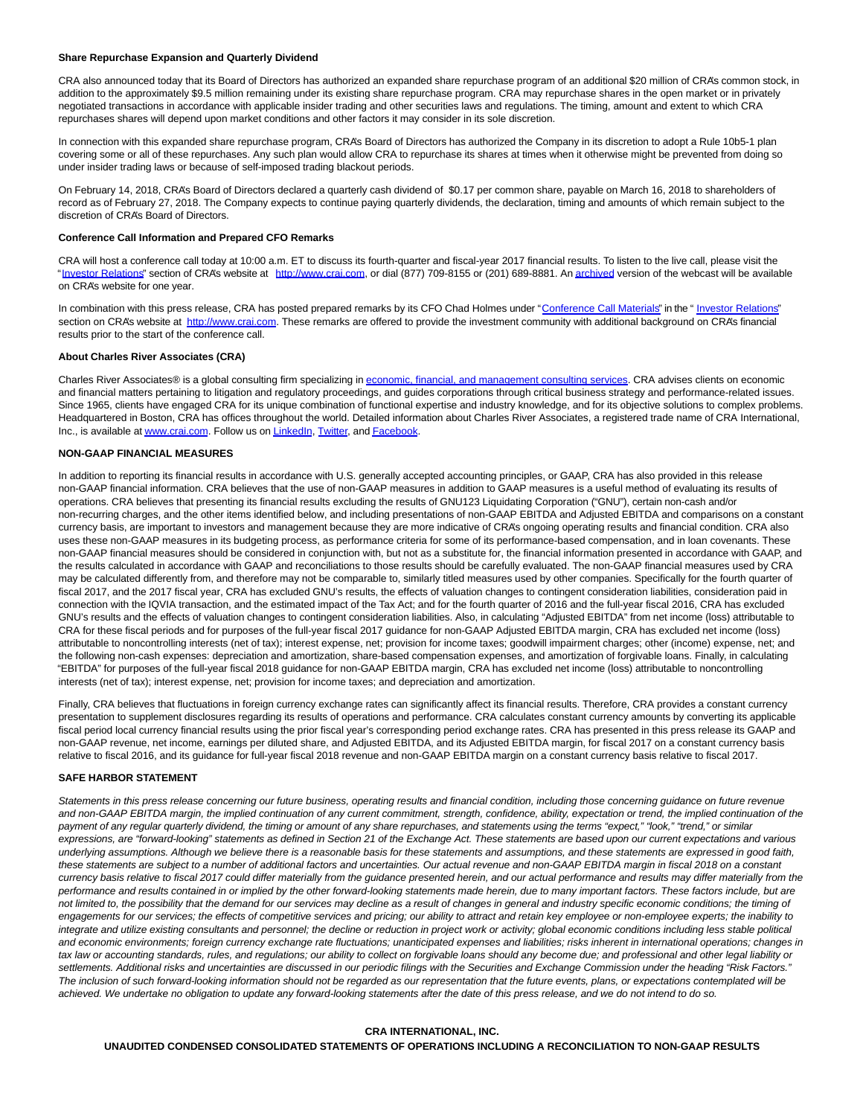#### **Share Repurchase Expansion and Quarterly Dividend**

CRA also announced today that its Board of Directors has authorized an expanded share repurchase program of an additional \$20 million of CRA's common stock, in addition to the approximately \$9.5 million remaining under its existing share repurchase program. CRA may repurchase shares in the open market or in privately negotiated transactions in accordance with applicable insider trading and other securities laws and regulations. The timing, amount and extent to which CRA repurchases shares will depend upon market conditions and other factors it may consider in its sole discretion.

In connection with this expanded share repurchase program, CRA's Board of Directors has authorized the Company in its discretion to adopt a Rule 10b5-1 plan covering some or all of these repurchases. Any such plan would allow CRA to repurchase its shares at times when it otherwise might be prevented from doing so under insider trading laws or because of self-imposed trading blackout periods.

On February 14, 2018, CRA's Board of Directors declared a quarterly cash dividend of \$0.17 per common share, payable on March 16, 2018 to shareholders of record as of February 27, 2018. The Company expects to continue paying quarterly dividends, the declaration, timing and amounts of which remain subject to the discretion of CRA's Board of Directors.

#### **Conference Call Information and Prepared CFO Remarks**

CRA will host a conference call today at 10:00 a.m. ET to discuss its fourth-quarter and fiscal-year 2017 financial results. To listen to the live call, please visit the ["Investor Relations"](http://cts.businesswire.com/ct/CT?id=smartlink&url=http%3A%2F%2Fphx.corporate-ir.net%2Fphoenix.zhtml%3Fc%3D97435%26p%3Dirol-IRHome&esheet=51759166&newsitemid=20180215005606&lan=en-US&anchor=Investor+Relations&index=4&md5=76294d9bf77224d5650f27a01e797b37) section of CRA's website at [http://www.crai.com,](http://cts.businesswire.com/ct/CT?id=smartlink&url=http%3A%2F%2Fwww.crai.com%2FDefault.aspx&esheet=51759166&newsitemid=20180215005606&lan=en-US&anchor=http%3A%2F%2Fwww.crai.com&index=5&md5=c97a4e3918019a35300a713046d2420c) or dial (877) 709-8155 or (201) 689-8881. An [archived v](http://cts.businesswire.com/ct/CT?id=smartlink&url=http%3A%2F%2Fphx.corporate-ir.net%2Fphoenix.zhtml%3Fc%3D97435%26p%3Dirol-calendarpast&esheet=51759166&newsitemid=20180215005606&lan=en-US&anchor=archived&index=6&md5=72398b2c80a853d1a4be4a087df1aea6)ersion of the webcast will be available on CRA's website for one year.

In combination with this press release, CRA has posted prepared remarks by its CFO Chad Holmes under ["Conference Call Materials"](http://cts.businesswire.com/ct/CT?id=smartlink&url=http%3A%2F%2Fphx.corporate-ir.net%2Fphoenix.zhtml%3Fc%3D97435%26p%3Dirol-presentations&esheet=51759166&newsitemid=20180215005606&lan=en-US&anchor=Conference+Call+Materials&index=7&md5=24d4636720ff01adb40efffae55d55df) in the " [Investor Relations"](http://cts.businesswire.com/ct/CT?id=smartlink&url=http%3A%2F%2Fphx.corporate-ir.net%2Fphoenix.zhtml%3Fc%3D97435%26p%3Dirol-IRHome&esheet=51759166&newsitemid=20180215005606&lan=en-US&anchor=Investor+Relations&index=8&md5=18100b8da2e938f62393392196cac2f9) section on CRA's website at [http://www.crai.com.](http://cts.businesswire.com/ct/CT?id=smartlink&url=http%3A%2F%2Fwww.crai.com%2FDefault.aspx&esheet=51759166&newsitemid=20180215005606&lan=en-US&anchor=http%3A%2F%2Fwww.crai.com&index=9&md5=c5f50c897276b575bb5da2e0a2c24ac8) These remarks are offered to provide the investment community with additional background on CRA's financial results prior to the start of the conference call.

### **About Charles River Associates (CRA)**

Charles River Associates® is a global consulting firm specializing i[n economic, financial, and management consulting services.](http://cts.businesswire.com/ct/CT?id=smartlink&url=http%3A%2F%2Fwww.crai.com%2F&esheet=51759166&newsitemid=20180215005606&lan=en-US&anchor=economic%2C+financial%2C+and+management+consulting+services&index=10&md5=9e498fc972a81a71f20a16e47883770d) CRA advises clients on economic and financial matters pertaining to litigation and regulatory proceedings, and guides corporations through critical business strategy and performance-related issues. Since 1965, clients have engaged CRA for its unique combination of functional expertise and industry knowledge, and for its objective solutions to complex problems. Headquartered in Boston, CRA has offices throughout the world. Detailed information about Charles River Associates, a registered trade name of CRA International, Inc., is available at [www.crai.com.](http://cts.businesswire.com/ct/CT?id=smartlink&url=http%3A%2F%2Fwww.crai.com&esheet=51759166&newsitemid=20180215005606&lan=en-US&anchor=www.crai.com&index=11&md5=f69af992ce9dbe9503b056f066bd216a) Follow us o[n LinkedIn,](http://cts.businesswire.com/ct/CT?id=smartlink&url=https%3A%2F%2Fwww.linkedin.com%2Fcompany%2Fcharles-river-associates&esheet=51759166&newsitemid=20180215005606&lan=en-US&anchor=LinkedIn&index=12&md5=693f45878d04be8441ba99b3eee11526) [Twitter,](http://cts.businesswire.com/ct/CT?id=smartlink&url=https%3A%2F%2Ftwitter.com%2FNews_CRA&esheet=51759166&newsitemid=20180215005606&lan=en-US&anchor=Twitter&index=13&md5=145bf4a72ce87abeb1d3ac671be51aad) and [Facebook.](http://cts.businesswire.com/ct/CT?id=smartlink&url=https%3A%2F%2Fwww.facebook.com%2FCharlesRiverAssociates&esheet=51759166&newsitemid=20180215005606&lan=en-US&anchor=Facebook&index=14&md5=6ebc8859819e7a24a3c775a81150b512)

### **NON-GAAP FINANCIAL MEASURES**

In addition to reporting its financial results in accordance with U.S. generally accepted accounting principles, or GAAP, CRA has also provided in this release non-GAAP financial information. CRA believes that the use of non-GAAP measures in addition to GAAP measures is a useful method of evaluating its results of operations. CRA believes that presenting its financial results excluding the results of GNU123 Liquidating Corporation ("GNU"), certain non-cash and/or non-recurring charges, and the other items identified below, and including presentations of non-GAAP EBITDA and Adjusted EBITDA and comparisons on a constant currency basis, are important to investors and management because they are more indicative of CRA's ongoing operating results and financial condition. CRA also uses these non-GAAP measures in its budgeting process, as performance criteria for some of its performance-based compensation, and in loan covenants. These non-GAAP financial measures should be considered in conjunction with, but not as a substitute for, the financial information presented in accordance with GAAP, and the results calculated in accordance with GAAP and reconciliations to those results should be carefully evaluated. The non-GAAP financial measures used by CRA may be calculated differently from, and therefore may not be comparable to, similarly titled measures used by other companies. Specifically for the fourth quarter of fiscal 2017, and the 2017 fiscal year, CRA has excluded GNU's results, the effects of valuation changes to contingent consideration liabilities, consideration paid in connection with the IQVIA transaction, and the estimated impact of the Tax Act; and for the fourth quarter of 2016 and the full-year fiscal 2016, CRA has excluded GNU's results and the effects of valuation changes to contingent consideration liabilities. Also, in calculating "Adjusted EBITDA" from net income (loss) attributable to CRA for these fiscal periods and for purposes of the full-year fiscal 2017 guidance for non-GAAP Adjusted EBITDA margin, CRA has excluded net income (loss) attributable to noncontrolling interests (net of tax); interest expense, net; provision for income taxes; goodwill impairment charges; other (income) expense, net; and the following non-cash expenses: depreciation and amortization, share-based compensation expenses, and amortization of forgivable loans. Finally, in calculating "EBITDA" for purposes of the full-year fiscal 2018 guidance for non-GAAP EBITDA margin, CRA has excluded net income (loss) attributable to noncontrolling interests (net of tax); interest expense, net; provision for income taxes; and depreciation and amortization.

Finally, CRA believes that fluctuations in foreign currency exchange rates can significantly affect its financial results. Therefore, CRA provides a constant currency presentation to supplement disclosures regarding its results of operations and performance. CRA calculates constant currency amounts by converting its applicable fiscal period local currency financial results using the prior fiscal year's corresponding period exchange rates. CRA has presented in this press release its GAAP and non-GAAP revenue, net income, earnings per diluted share, and Adjusted EBITDA, and its Adjusted EBITDA margin, for fiscal 2017 on a constant currency basis relative to fiscal 2016, and its guidance for full-year fiscal 2018 revenue and non-GAAP EBITDA margin on a constant currency basis relative to fiscal 2017.

#### **SAFE HARBOR STATEMENT**

Statements in this press release concerning our future business, operating results and financial condition, including those concerning guidance on future revenue and non-GAAP EBITDA margin, the implied continuation of any current commitment, strength, confidence, ability, expectation or trend, the implied continuation of the payment of any reqular quarterly dividend, the timing or amount of any share repurchases, and statements using the terms "expect," "look," "trend," or similar expressions, are "forward-looking" statements as defined in Section 21 of the Exchange Act. These statements are based upon our current expectations and various underlying assumptions. Although we believe there is a reasonable basis for these statements and assumptions, and these statements are expressed in good faith, these statements are subject to a number of additional factors and uncertainties. Our actual revenue and non-GAAP EBITDA margin in fiscal 2018 on a constant currency basis relative to fiscal 2017 could differ materially from the guidance presented herein, and our actual performance and results may differ materially from the performance and results contained in or implied by the other forward-looking statements made herein, due to many important factors. These factors include, but are not limited to, the possibility that the demand for our services may decline as a result of changes in general and industry specific economic conditions; the timing of engagements for our services; the effects of competitive services and pricing; our ability to attract and retain key employee or non-employee experts; the inability to integrate and utilize existing consultants and personnel; the decline or reduction in project work or activity; global economic conditions including less stable political and economic environments; foreign currency exchange rate fluctuations; unanticipated expenses and liabilities; risks inherent in international operations; changes in tax law or accounting standards, rules, and regulations; our ability to collect on forgivable loans should any become due; and professional and other legal liability or settlements. Additional risks and uncertainties are discussed in our periodic filings with the Securities and Exchange Commission under the heading "Risk Factors." The inclusion of such forward-looking information should not be regarded as our representation that the future events, plans, or expectations contemplated will be achieved. We undertake no obligation to update any forward-looking statements after the date of this press release, and we do not intend to do so.

#### **CRA INTERNATIONAL, INC.**

**UNAUDITED CONDENSED CONSOLIDATED STATEMENTS OF OPERATIONS INCLUDING A RECONCILIATION TO NON-GAAP RESULTS**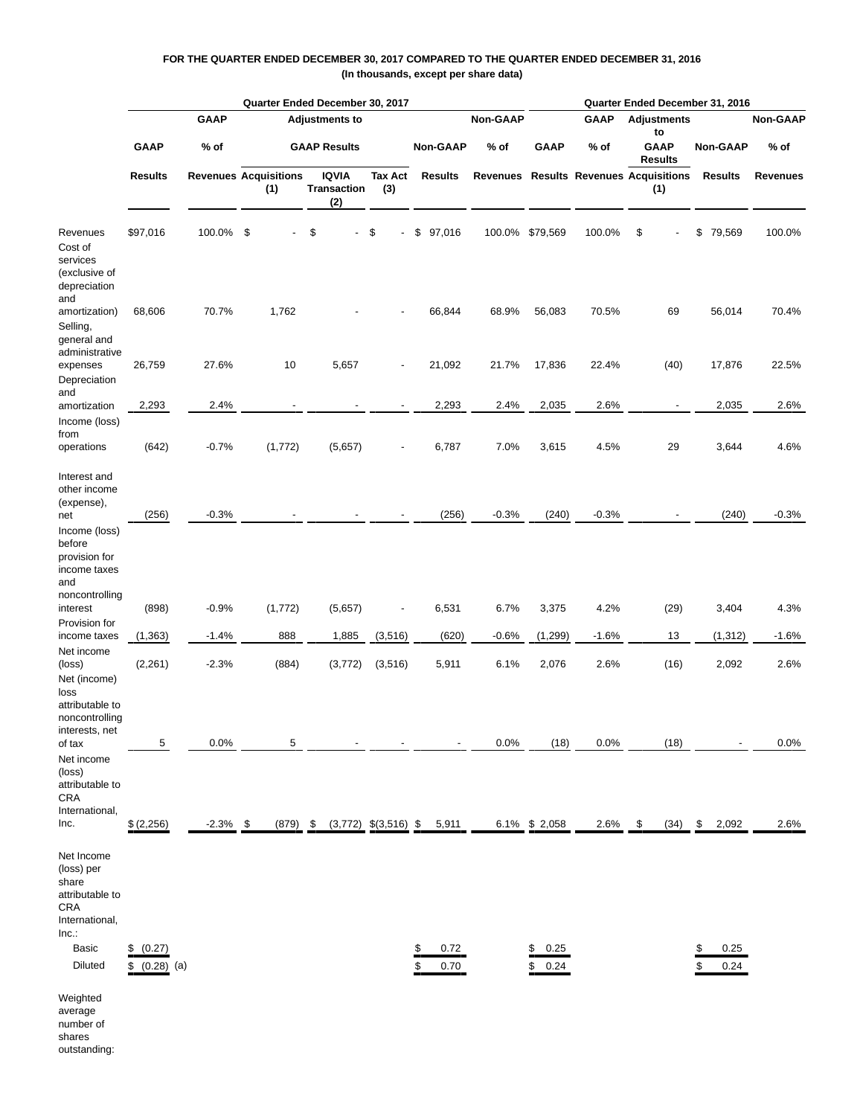# **FOR THE QUARTER ENDED DECEMBER 30, 2017 COMPARED TO THE QUARTER ENDED DECEMBER 31, 2016 (In thousands, except per share data)**

|                                                                                                                  |                                   |             |              | Quarter Ended December 30, 2017     |                                    |                       |                | Quarter Ended December 31, 2016 |             |                                     |                                               |                 |                 |  |  |  |
|------------------------------------------------------------------------------------------------------------------|-----------------------------------|-------------|--------------|-------------------------------------|------------------------------------|-----------------------|----------------|---------------------------------|-------------|-------------------------------------|-----------------------------------------------|-----------------|-----------------|--|--|--|
|                                                                                                                  |                                   | <b>GAAP</b> |              | <b>Adjustments to</b>               |                                    |                       | Non-GAAP       |                                 | <b>GAAP</b> | <b>Adjustments</b>                  |                                               | <b>Non-GAAP</b> |                 |  |  |  |
|                                                                                                                  | <b>GAAP</b>                       | % of        |              | <b>GAAP Results</b>                 |                                    | <b>Non-GAAP</b>       | % of           | <b>GAAP</b>                     | $%$ of      | to<br><b>GAAP</b><br><b>Results</b> | <b>Non-GAAP</b>                               | $%$ of          |                 |  |  |  |
|                                                                                                                  | <b>Results</b>                    |             |              | <b>Revenues Acquisitions</b><br>(1) | <b>IQVIA</b><br>Transaction<br>(2) | <b>Tax Act</b><br>(3) | <b>Results</b> |                                 |             |                                     | Revenues Results Revenues Acquisitions<br>(1) | <b>Results</b>  | <b>Revenues</b> |  |  |  |
| Revenues<br>Cost of<br>services<br>(exclusive of<br>depreciation<br>and                                          | \$97,016                          | 100.0%      | \$           | \$                                  | \$                                 | \$<br>97,016          | 100.0%         | \$79,569                        | 100.0%      | \$                                  | \$<br>79,569                                  | 100.0%          |                 |  |  |  |
| amortization)<br>Selling,<br>general and<br>administrative                                                       | 68,606                            | 70.7%       | 1,762        |                                     |                                    | 66,844                | 68.9%          | 56,083                          | 70.5%       | 69                                  | 56,014                                        | 70.4%           |                 |  |  |  |
| expenses<br>Depreciation<br>and                                                                                  | 26,759                            | 27.6%       | 10           | 5,657                               | $\overline{\phantom{m}}$           | 21,092                | 21.7%          | 17,836                          | 22.4%       | (40)                                | 17,876                                        | 22.5%           |                 |  |  |  |
| amortization<br>Income (loss)                                                                                    | 2,293                             | 2.4%        |              |                                     | $\overline{\phantom{a}}$           | 2,293                 | 2.4%           | 2,035                           | 2.6%        | $\overline{\phantom{a}}$            | 2,035                                         | 2.6%            |                 |  |  |  |
| from<br>operations                                                                                               | (642)                             | $-0.7%$     | (1,772)      | (5,657)                             | $\overline{\phantom{m}}$           | 6,787                 | 7.0%           | 3,615                           | 4.5%        | 29                                  | 3,644                                         | 4.6%            |                 |  |  |  |
| Interest and<br>other income<br>(expense),                                                                       |                                   |             |              |                                     |                                    |                       |                |                                 |             |                                     |                                               |                 |                 |  |  |  |
| net<br>Income (loss)<br>before<br>provision for<br>income taxes<br>and                                           | (256)                             | $-0.3%$     |              |                                     |                                    | (256)                 | $-0.3%$        | (240)                           | $-0.3%$     |                                     | (240)                                         | $-0.3%$         |                 |  |  |  |
| noncontrolling<br>interest                                                                                       | (898)                             | $-0.9%$     | (1, 772)     | (5,657)                             |                                    | 6,531                 | 6.7%           | 3,375                           | 4.2%        | (29)                                | 3,404                                         | 4.3%            |                 |  |  |  |
| Provision for<br>income taxes                                                                                    | (1, 363)                          | $-1.4%$     | 888          | 1,885                               | (3, 516)                           | (620)                 | $-0.6%$        | (1, 299)                        | $-1.6%$     | 13                                  | (1, 312)                                      | $-1.6%$         |                 |  |  |  |
| Net income<br>(loss)<br>Net (income)<br>loss<br>attributable to                                                  | (2, 261)                          | $-2.3%$     | (884)        | (3,772)                             | (3, 516)                           | 5,911                 | 6.1%           | 2,076                           | 2.6%        | (16)                                | 2,092                                         | 2.6%            |                 |  |  |  |
| noncontrolling<br>interests, net<br>of tax                                                                       | 5                                 | 0.0%        | 5            |                                     |                                    |                       | 0.0%           | (18)                            | 0.0%        | (18)                                |                                               | 0.0%            |                 |  |  |  |
| Net income<br>(loss)<br>attributable to<br>CRA<br>International,                                                 |                                   |             |              |                                     |                                    |                       |                |                                 |             |                                     |                                               |                 |                 |  |  |  |
| Inc.                                                                                                             | \$ (2,256)                        | $-2.3%$     | -\$<br>(879) | \$<br>(3,772)                       | $$(3,516)$ \,                      | 5,911                 | 6.1%           | \$2,058                         | 2.6%        | \$<br>(34)                          | 2,092<br>\$                                   | 2.6%            |                 |  |  |  |
| Net Income<br>(loss) per<br>share<br>attributable to<br>CRA<br>International,<br>Inc.<br>Basic<br><b>Diluted</b> | (0.27)<br>\$<br>$(0.28)$ (a)<br>S |             |              |                                     |                                    | 0.72<br>0.70          |                | 0.25<br>\$<br>\$<br>0.24        |             |                                     | 0.25<br>0.24                                  |                 |                 |  |  |  |
| Weighted<br>average<br>number of                                                                                 |                                   |             |              |                                     |                                    |                       |                |                                 |             |                                     |                                               |                 |                 |  |  |  |

shares

outstanding: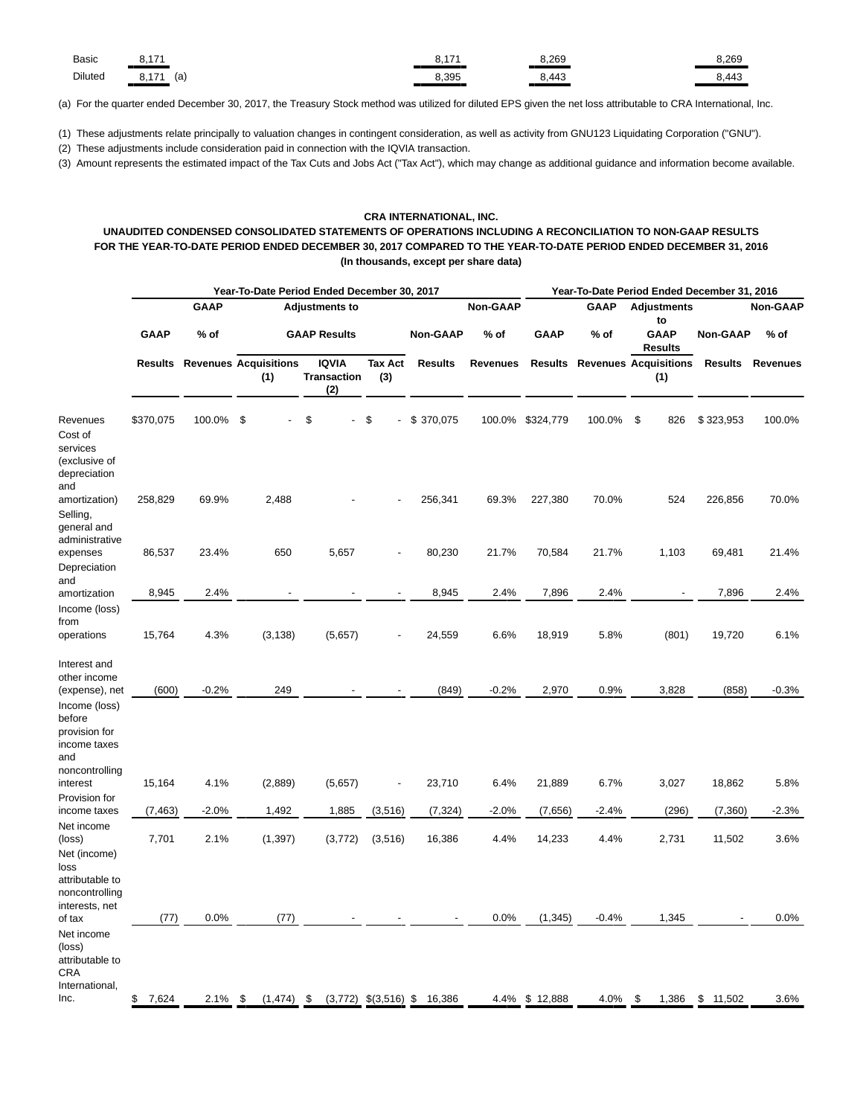| <b>Basic</b> | $\rightarrow$          | $4 - 7$ | 8.269                         | 3.269                    |
|--------------|------------------------|---------|-------------------------------|--------------------------|
| Diluted      | 17 <sub>2</sub><br>(a) | 8,395   | $\overline{A}$<br>. 44J<br>__ | $\cdot$ A $\prime$<br>᠇୰ |

(a) For the quarter ended December 30, 2017, the Treasury Stock method was utilized for diluted EPS given the net loss attributable to CRA International, Inc.

(1) These adjustments relate principally to valuation changes in contingent consideration, as well as activity from GNU123 Liquidating Corporation ("GNU").

(2) These adjustments include consideration paid in connection with the IQVIA transaction.

(3) Amount represents the estimated impact of the Tax Cuts and Jobs Act ("Tax Act"), which may change as additional guidance and information become available.

### **CRA INTERNATIONAL, INC.**

# **UNAUDITED CONDENSED CONSOLIDATED STATEMENTS OF OPERATIONS INCLUDING A RECONCILIATION TO NON-GAAP RESULTS FOR THE YEAR-TO-DATE PERIOD ENDED DECEMBER 30, 2017 COMPARED TO THE YEAR-TO-DATE PERIOD ENDED DECEMBER 31, 2016 (In thousands, except per share data)**

|                                                                                               |             |                                      |                |      | Year-To-Date Period Ended December 30, 2017 |                           |                 | Year-To-Date Period Ended December 31, 2016 |             |             |                                             |                 |                 |  |  |
|-----------------------------------------------------------------------------------------------|-------------|--------------------------------------|----------------|------|---------------------------------------------|---------------------------|-----------------|---------------------------------------------|-------------|-------------|---------------------------------------------|-----------------|-----------------|--|--|
|                                                                                               |             | <b>GAAP</b>                          |                |      | <b>Adjustments to</b>                       |                           |                 | <b>Non-GAAP</b>                             |             | <b>GAAP</b> | <b>Adjustments</b><br>to                    |                 | Non-GAAP        |  |  |
|                                                                                               | <b>GAAP</b> | $%$ of                               |                |      | <b>GAAP Results</b>                         |                           | <b>Non-GAAP</b> | $%$ of                                      | <b>GAAP</b> | % of        | <b>GAAP</b><br><b>Results</b>               | <b>Non-GAAP</b> | $%$ of          |  |  |
|                                                                                               |             | <b>Results Revenues Acquisitions</b> | (1)            |      | <b>IQVIA</b><br><b>Transaction</b><br>(2)   | <b>Tax Act</b><br>(3)     | <b>Results</b>  | <b>Revenues</b>                             |             |             | <b>Results Revenues Acquisitions</b><br>(1) | <b>Results</b>  | <b>Revenues</b> |  |  |
| Revenues<br>Cost of<br>services<br>(exclusive of<br>depreciation<br>and                       | \$370,075   | 100.0%                               | \$             |      | \$                                          | \$                        | \$370,075       | 100.0%                                      | \$324,779   | 100.0%      | \$<br>826                                   | \$323,953       | 100.0%          |  |  |
| amortization)<br>Selling,<br>general and<br>administrative                                    | 258,829     | 69.9%                                | 2,488          |      |                                             |                           | 256,341         | 69.3%                                       | 227,380     | 70.0%       | 524                                         | 226,856         | 70.0%           |  |  |
| expenses<br>Depreciation<br>and                                                               | 86,537      | 23.4%                                | 650            |      | 5,657                                       |                           | 80,230          | 21.7%                                       | 70,584      | 21.7%       | 1,103                                       | 69,481          | 21.4%           |  |  |
| amortization                                                                                  | 8,945       | 2.4%                                 |                |      |                                             |                           | 8,945           | 2.4%                                        | 7,896       | 2.4%        |                                             | 7,896           | 2.4%            |  |  |
| Income (loss)<br>from<br>operations                                                           | 15,764      | 4.3%                                 | (3, 138)       |      | (5,657)                                     |                           | 24,559          | 6.6%                                        | 18,919      | 5.8%        | (801)                                       | 19,720          | 6.1%            |  |  |
| Interest and<br>other income<br>(expense), net                                                | (600)       | $-0.2%$                              | 249            |      |                                             |                           | (849)           | $-0.2%$                                     | 2,970       | 0.9%        | 3,828                                       | (858)           | $-0.3%$         |  |  |
| Income (loss)<br>before<br>provision for<br>income taxes<br>and<br>noncontrolling<br>interest | 15,164      | 4.1%                                 | (2,889)        |      | (5,657)                                     | $\overline{a}$            | 23,710          | 6.4%                                        | 21,889      | 6.7%        | 3,027                                       | 18,862          | 5.8%            |  |  |
| Provision for                                                                                 |             |                                      |                |      |                                             |                           |                 |                                             |             |             |                                             |                 |                 |  |  |
| income taxes                                                                                  | (7, 463)    | $-2.0%$                              | 1,492          |      | 1,885                                       | (3,516)                   | (7, 324)        | $-2.0%$                                     | (7,656)     | $-2.4%$     | (296)                                       | (7, 360)        | $-2.3%$         |  |  |
| Net income<br>(loss)<br>Net (income)<br>loss<br>attributable to                               | 7,701       | 2.1%                                 | (1, 397)       |      | (3, 772)                                    | (3,516)                   | 16,386          | 4.4%                                        | 14,233      | 4.4%        | 2,731                                       | 11,502          | 3.6%            |  |  |
| noncontrolling<br>interests, net<br>of tax                                                    | (77)        | 0.0%                                 |                | (77) |                                             |                           |                 | 0.0%                                        | (1, 345)    | $-0.4%$     | 1,345                                       |                 | 0.0%            |  |  |
| Net income<br>(loss)<br>attributable to<br><b>CRA</b><br>International,<br>Inc.               | \$<br>7,624 | 2.1%                                 | \$<br>(1, 474) |      | \$                                          | $(3,772)$ \$ $(3,516)$ \$ | 16,386          | 4.4%                                        | \$12,888    | 4.0%        | \$<br>1,386                                 | \$<br>11,502    | 3.6%            |  |  |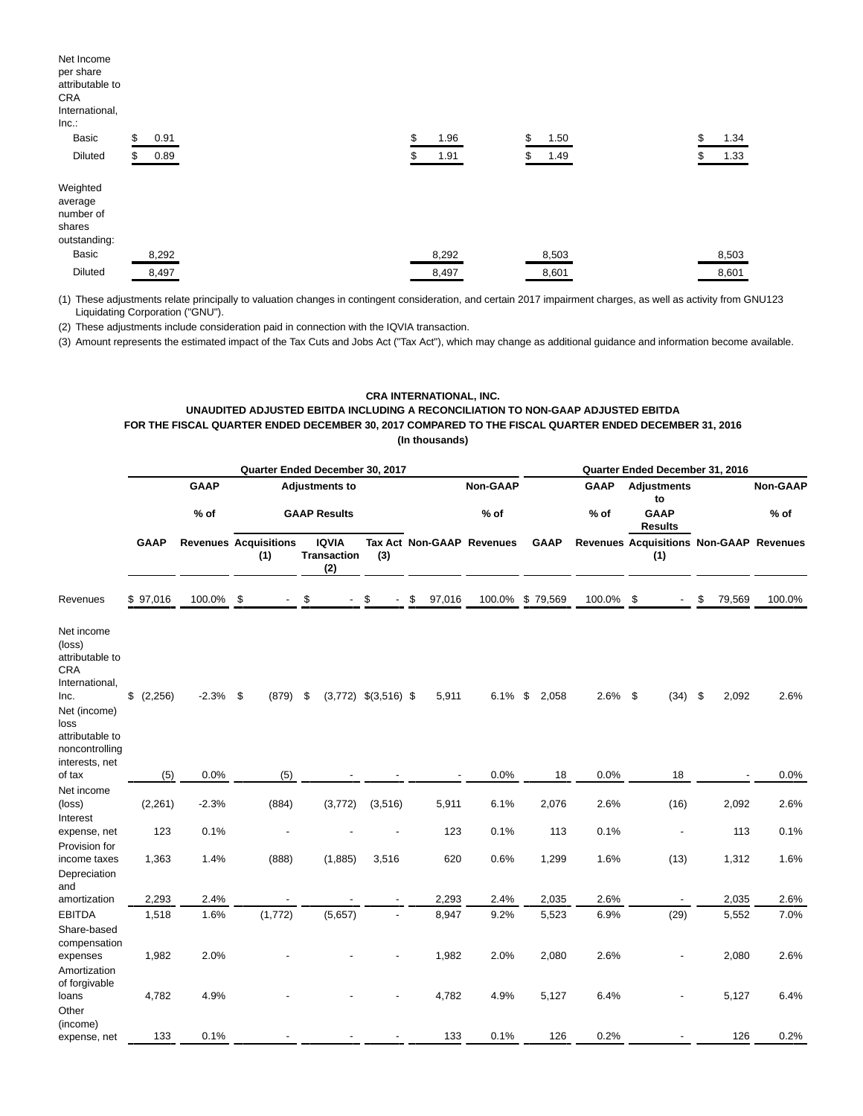| Net Income<br>per share<br>attributable to<br>CRA<br>International,<br>Inc. |            |            |            |            |
|-----------------------------------------------------------------------------|------------|------------|------------|------------|
| Basic                                                                       | \$<br>0.91 | \$<br>1.96 | \$<br>1.50 | \$<br>1.34 |
| <b>Diluted</b>                                                              | 0.89       | 1.91       | 1.49       | \$<br>1.33 |
| Weighted<br>average<br>number of<br>shares<br>outstanding:                  |            |            |            |            |
| Basic                                                                       | 8,292      | 8,292      | 8,503      | 8,503      |
| <b>Diluted</b>                                                              | 8,497      | 8,497      | 8,601      | 8,601      |

(1) These adjustments relate principally to valuation changes in contingent consideration, and certain 2017 impairment charges, as well as activity from GNU123 Liquidating Corporation ("GNU").

(2) These adjustments include consideration paid in connection with the IQVIA transaction.

(3) Amount represents the estimated impact of the Tax Cuts and Jobs Act ("Tax Act"), which may change as additional guidance and information become available.

## **CRA INTERNATIONAL, INC. UNAUDITED ADJUSTED EBITDA INCLUDING A RECONCILIATION TO NON-GAAP ADJUSTED EBITDA FOR THE FISCAL QUARTER ENDED DECEMBER 30, 2017 COMPARED TO THE FISCAL QUARTER ENDED DECEMBER 31, 2016 (In thousands)**

|                                                                                                                                                                |             |                              | Quarter Ended December 30, 2017 |         |    |                                           |                           | Quarter Ended December 31, 2016 |                           |    |             |                          |  |                          |    |                 |                                         |
|----------------------------------------------------------------------------------------------------------------------------------------------------------------|-------------|------------------------------|---------------------------------|---------|----|-------------------------------------------|---------------------------|---------------------------------|---------------------------|----|-------------|--------------------------|--|--------------------------|----|-----------------|-----------------------------------------|
|                                                                                                                                                                |             | <b>GAAP</b>                  | <b>Adjustments to</b>           |         |    |                                           |                           | Non-GAAP                        |                           |    | <b>GAAP</b> | <b>Adjustments</b><br>to |  |                          |    | <b>Non-GAAP</b> |                                         |
|                                                                                                                                                                |             | $%$ of                       |                                 |         |    | <b>GAAP Results</b>                       |                           |                                 | $%$ of                    |    |             | $%$ of                   |  | <b>GAAP</b><br>Results   |    |                 | $%$ of                                  |
|                                                                                                                                                                | <b>GAAP</b> | <b>Revenues Acquisitions</b> |                                 | (1)     |    | <b>IQVIA</b><br><b>Transaction</b><br>(2) | (3)                       |                                 | Tax Act Non-GAAP Revenues |    | <b>GAAP</b> |                          |  | (1)                      |    |                 | Revenues Acquisitions Non-GAAP Revenues |
| Revenues                                                                                                                                                       | \$97,016    | 100.0%                       | \$                              |         | \$ |                                           | \$<br>$\sim$              | \$<br>97,016                    | 100.0%                    |    | \$79,569    | 100.0% \$                |  |                          | \$ | 79,569          | 100.0%                                  |
| Net income<br>(loss)<br>attributable to<br><b>CRA</b><br>International,<br>Inc.<br>Net (income)<br>loss<br>attributable to<br>noncontrolling<br>interests, net | \$ (2,256)  | $-2.3%$ \$                   |                                 | (879)   | \$ |                                           | $(3,772)$ \$ $(3,516)$ \$ | 5,911                           | 6.1%                      | \$ | 2,058       | $2.6\%$ \$               |  | $(34)$ \$                |    | 2,092           | 2.6%                                    |
| of tax                                                                                                                                                         | (5)         | 0.0%                         |                                 | (5)     |    |                                           |                           |                                 | 0.0%                      |    | 18          | 0.0%                     |  | 18                       |    |                 | 0.0%                                    |
| Net income<br>(loss)<br>Interest                                                                                                                               | (2, 261)    | $-2.3%$                      |                                 | (884)   |    | (3, 772)                                  | (3,516)                   | 5,911                           | 6.1%                      |    | 2,076       | 2.6%                     |  | (16)                     |    | 2,092           | 2.6%                                    |
| expense, net                                                                                                                                                   | 123         | 0.1%                         |                                 |         |    |                                           |                           | 123                             | 0.1%                      |    | 113         | 0.1%                     |  |                          |    | 113             | 0.1%                                    |
| Provision for<br>income taxes<br>Depreciation<br>and                                                                                                           | 1,363       | 1.4%                         |                                 | (888)   |    | (1,885)                                   | 3,516                     | 620                             | 0.6%                      |    | 1,299       | 1.6%                     |  | (13)                     |    | 1,312           | 1.6%                                    |
| amortization                                                                                                                                                   | 2,293       | 2.4%                         |                                 |         |    |                                           | $\overline{\phantom{a}}$  | 2,293                           | 2.4%                      |    | 2,035       | 2.6%                     |  | $\overline{\phantom{a}}$ |    | 2,035           | 2.6%                                    |
| <b>EBITDA</b><br>Share-based                                                                                                                                   | 1,518       | 1.6%                         |                                 | (1,772) |    | (5,657)                                   |                           | 8,947                           | 9.2%                      |    | 5,523       | 6.9%                     |  | (29)                     |    | 5,552           | 7.0%                                    |
| compensation<br>expenses<br>Amortization                                                                                                                       | 1,982       | 2.0%                         |                                 |         |    |                                           |                           | 1,982                           | 2.0%                      |    | 2,080       | 2.6%                     |  |                          |    | 2,080           | 2.6%                                    |
| of forgivable<br>loans<br>Other                                                                                                                                | 4,782       | 4.9%                         |                                 |         |    |                                           |                           | 4,782                           | 4.9%                      |    | 5,127       | 6.4%                     |  |                          |    | 5,127           | 6.4%                                    |
| (income)<br>expense, net                                                                                                                                       | 133         | 0.1%                         |                                 |         |    |                                           |                           | 133                             | 0.1%                      |    | 126         | 0.2%                     |  |                          |    | 126             | 0.2%                                    |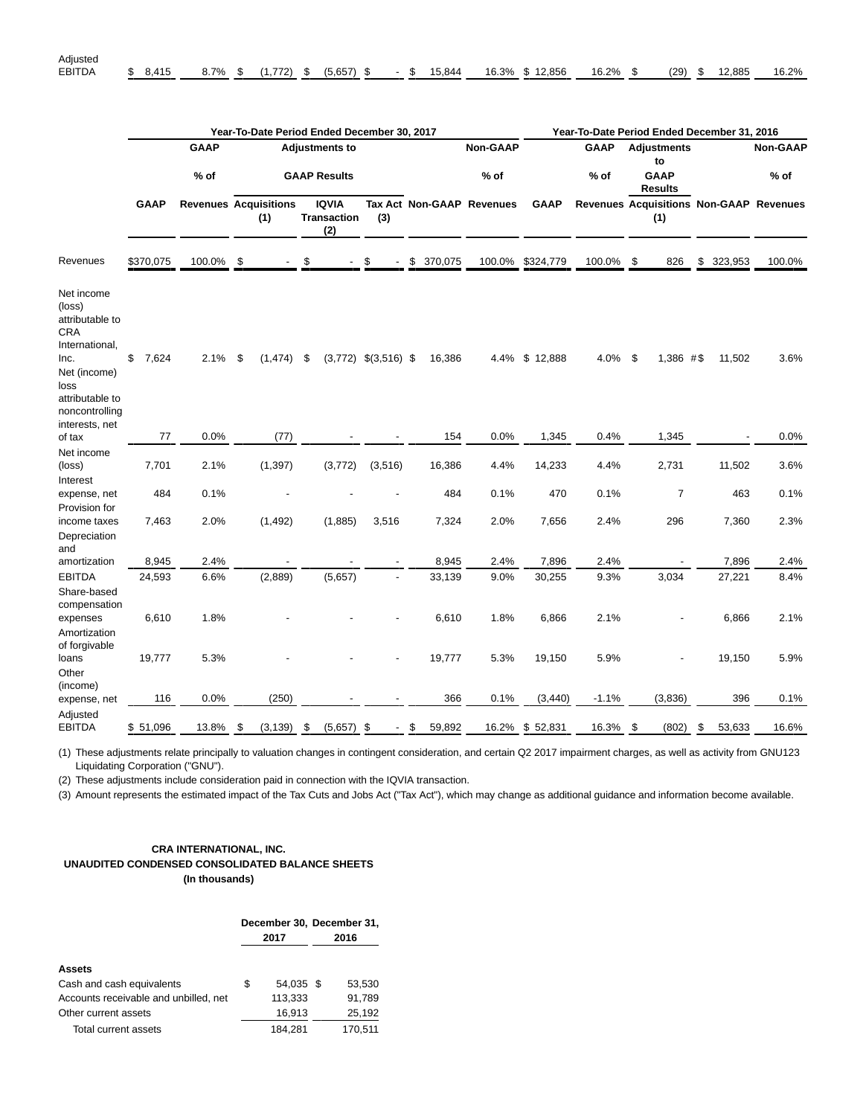|                                                                                                                                       |             |             | Year-To-Date Period Ended December 30, 2017 |    |                                           | Year-To-Date Period Ended December 31, 2016 |    |         |                           |             |             |                          |                        |    |         |                                         |  |
|---------------------------------------------------------------------------------------------------------------------------------------|-------------|-------------|---------------------------------------------|----|-------------------------------------------|---------------------------------------------|----|---------|---------------------------|-------------|-------------|--------------------------|------------------------|----|---------|-----------------------------------------|--|
|                                                                                                                                       |             | <b>GAAP</b> | <b>Adjustments to</b>                       |    |                                           |                                             |    |         | Non-GAAP                  |             | <b>GAAP</b> | <b>Adjustments</b><br>to |                        |    |         | <b>Non-GAAP</b>                         |  |
|                                                                                                                                       |             | $%$ of      | <b>GAAP Results</b>                         |    |                                           |                                             |    |         | $%$ of                    |             | $%$ of      |                          | <b>GAAP</b><br>Results |    |         | $%$ of                                  |  |
|                                                                                                                                       | <b>GAAP</b> |             | <b>Revenues Acquisitions</b><br>(1)         |    | <b>IQVIA</b><br><b>Transaction</b><br>(2) | (3)                                         |    |         | Tax Act Non-GAAP Revenues | <b>GAAP</b> |             |                          | (1)                    |    |         | Revenues Acquisitions Non-GAAP Revenues |  |
| Revenues                                                                                                                              | \$370,075   | 100.0%      | \$                                          | \$ |                                           | \$                                          | \$ | 370,075 | 100.0%                    | \$324,779   | 100.0%      | - \$                     | 826                    | \$ | 323,953 | 100.0%                                  |  |
| Net income<br>(loss)<br>attributable to<br>CRA<br>International,<br>Inc.<br>Net (income)<br>loss<br>attributable to<br>noncontrolling | \$<br>7,624 | 2.1%        | \$<br>(1, 474)                              | \$ |                                           | $(3,772)$ \$ $(3,516)$ \$                   |    | 16,386  | 4.4%                      | \$12,888    | 4.0%        | -\$                      | 1,386 #\$              |    | 11,502  | 3.6%                                    |  |
| interests, net<br>of tax                                                                                                              | 77          | 0.0%        | (77)                                        |    |                                           |                                             |    | 154     | 0.0%                      | 1,345       | 0.4%        |                          | 1,345                  |    |         | 0.0%                                    |  |
| Net income<br>(loss)<br>Interest                                                                                                      | 7,701       | 2.1%        | (1, 397)                                    |    | (3,772)                                   | (3,516)                                     |    | 16,386  | 4.4%                      | 14,233      | 4.4%        |                          | 2,731                  |    | 11,502  | 3.6%                                    |  |
| expense, net                                                                                                                          | 484         | 0.1%        |                                             |    |                                           |                                             |    | 484     | 0.1%                      | 470         | 0.1%        |                          | $\overline{7}$         |    | 463     | 0.1%                                    |  |
| Provision for<br>income taxes<br>Depreciation                                                                                         | 7,463       | 2.0%        | (1, 492)                                    |    | (1,885)                                   | 3,516                                       |    | 7,324   | 2.0%                      | 7,656       | 2.4%        |                          | 296                    |    | 7,360   | 2.3%                                    |  |
| and<br>amortization                                                                                                                   | 8,945       | 2.4%        |                                             |    |                                           |                                             |    | 8,945   | 2.4%                      | 7,896       | 2.4%        |                          |                        |    | 7,896   | 2.4%                                    |  |
| <b>EBITDA</b>                                                                                                                         | 24,593      | 6.6%        | (2,889)                                     |    | (5,657)                                   | $\overline{a}$                              |    | 33,139  | 9.0%                      | 30,255      | 9.3%        |                          | 3,034                  |    | 27,221  | 8.4%                                    |  |
| Share-based<br>compensation<br>expenses<br>Amortization                                                                               | 6,610       | 1.8%        |                                             |    |                                           |                                             |    | 6,610   | 1.8%                      | 6,866       | 2.1%        |                          |                        |    | 6,866   | 2.1%                                    |  |
| of forgivable<br>loans<br>Other                                                                                                       | 19,777      | 5.3%        |                                             |    |                                           |                                             |    | 19,777  | 5.3%                      | 19,150      | 5.9%        |                          |                        |    | 19,150  | 5.9%                                    |  |
| (income)<br>expense, net                                                                                                              | 116         | 0.0%        | (250)                                       |    |                                           |                                             |    | 366     | 0.1%                      | (3, 440)    | $-1.1%$     |                          | (3,836)                |    | 396     | 0.1%                                    |  |
| Adjusted<br><b>EBITDA</b>                                                                                                             | \$51,096    | 13.8%       | \$<br>(3, 139)                              | \$ | $(5,657)$ \$                              | $\overline{\phantom{0}}$                    | \$ | 59,892  | 16.2%                     | \$52,831    | 16.3%       | - \$                     | (802)                  | \$ | 53,633  | 16.6%                                   |  |

(1) These adjustments relate principally to valuation changes in contingent consideration, and certain Q2 2017 impairment charges, as well as activity from GNU123 Liquidating Corporation ("GNU").

(2) These adjustments include consideration paid in connection with the IQVIA transaction.

(3) Amount represents the estimated impact of the Tax Cuts and Jobs Act ("Tax Act"), which may change as additional guidance and information become available.

## **CRA INTERNATIONAL, INC. UNAUDITED CONDENSED CONSOLIDATED BALANCE SHEETS (In thousands)**

|                                       | 2017            | December 30, December 31,<br>2016 |
|---------------------------------------|-----------------|-----------------------------------|
| Assets                                |                 |                                   |
| Cash and cash equivalents             | \$<br>54.035 \$ | 53.530                            |
| Accounts receivable and unbilled, net | 113,333         | 91.789                            |
| Other current assets                  | 16,913          | 25,192                            |
| Total current assets                  | 184,281         | 170.511                           |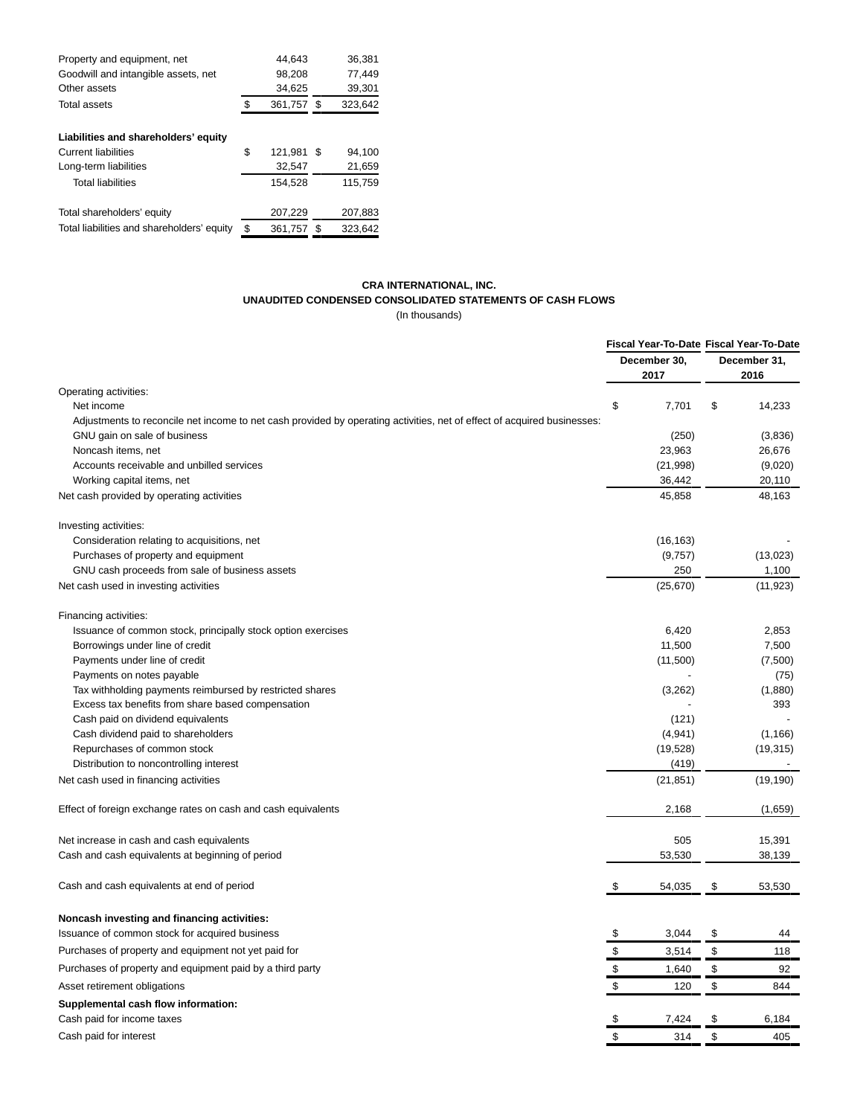| Property and equipment, net                | 44.643           |      | 36,381  |
|--------------------------------------------|------------------|------|---------|
| Goodwill and intangible assets, net        | 98,208           |      | 77,449  |
| Other assets                               | 34,625           |      | 39,301  |
| Total assets                               | \$<br>361,757 \$ |      | 323,642 |
| Liabilities and shareholders' equity       |                  |      |         |
| <b>Current liabilities</b>                 | \$<br>121.981    | - \$ | 94.100  |
| Long-term liabilities                      | 32,547           |      | 21,659  |
| <b>Total liabilities</b>                   | 154,528          |      | 115.759 |
| Total shareholders' equity                 | 207,229          |      | 207,883 |
| Total liabilities and shareholders' equity | \$<br>361.757    | - \$ | 323.642 |

# **CRA INTERNATIONAL, INC. UNAUDITED CONDENSED CONSOLIDATED STATEMENTS OF CASH FLOWS**

(In thousands)

| December 30,<br>December 31,<br>2017<br>2016<br>Operating activities:<br>\$<br>7,701<br>\$<br>14,233<br>Net income<br>Adjustments to reconcile net income to net cash provided by operating activities, net of effect of acquired businesses:<br>(250)<br>(3,836)<br>GNU gain on sale of business<br>23,963<br>26,676<br>Noncash items, net<br>(9,020)<br>Accounts receivable and unbilled services<br>(21, 998)<br>Working capital items, net<br>36,442<br>20,110<br>45,858<br>48,163<br>Net cash provided by operating activities<br>Investing activities:<br>Consideration relating to acquisitions, net<br>(16, 163)<br>Purchases of property and equipment<br>(9,757)<br>(13,023)<br>1,100<br>GNU cash proceeds from sale of business assets<br>250<br>(25, 670)<br>(11, 923)<br>Net cash used in investing activities<br>Financing activities:<br>6,420<br>2,853<br>Issuance of common stock, principally stock option exercises<br>11,500<br>Borrowings under line of credit<br>7,500<br>Payments under line of credit<br>(11,500)<br>(7,500)<br>Payments on notes payable<br>(75)<br>Tax withholding payments reimbursed by restricted shares<br>(3,262)<br>(1,880)<br>Excess tax benefits from share based compensation<br>393<br>Cash paid on dividend equivalents<br>(121)<br>(4,941)<br>(1, 166)<br>Cash dividend paid to shareholders<br>(19, 528)<br>(19, 315)<br>Repurchases of common stock<br>(419)<br>Distribution to noncontrolling interest<br>(21, 851)<br>(19, 190)<br>Net cash used in financing activities<br>2,168<br>(1,659)<br>Effect of foreign exchange rates on cash and cash equivalents<br>505<br>15,391<br>Net increase in cash and cash equivalents<br>38,139<br>Cash and cash equivalents at beginning of period<br>53,530<br>\$<br>Cash and cash equivalents at end of period<br>\$<br>54,035<br>53,530<br>Noncash investing and financing activities:<br>Issuance of common stock for acquired business<br>3,044<br>\$<br>\$<br>44<br>Purchases of property and equipment not yet paid for<br>3,514<br>\$<br>\$<br>118<br>\$<br>\$<br>1,640<br>92<br>Purchases of property and equipment paid by a third party<br>\$<br>\$<br>Asset retirement obligations<br>120<br>844<br>Supplemental cash flow information:<br>7,424<br>\$<br>Cash paid for income taxes<br>\$<br>6,184 |                        |           | Fiscal Year-To-Date Fiscal Year-To-Date |     |  |
|------------------------------------------------------------------------------------------------------------------------------------------------------------------------------------------------------------------------------------------------------------------------------------------------------------------------------------------------------------------------------------------------------------------------------------------------------------------------------------------------------------------------------------------------------------------------------------------------------------------------------------------------------------------------------------------------------------------------------------------------------------------------------------------------------------------------------------------------------------------------------------------------------------------------------------------------------------------------------------------------------------------------------------------------------------------------------------------------------------------------------------------------------------------------------------------------------------------------------------------------------------------------------------------------------------------------------------------------------------------------------------------------------------------------------------------------------------------------------------------------------------------------------------------------------------------------------------------------------------------------------------------------------------------------------------------------------------------------------------------------------------------------------------------------------------------------------------------------------------------------------------------------------------------------------------------------------------------------------------------------------------------------------------------------------------------------------------------------------------------------------------------------------------------------------------------------------------------------------------------------------------------------------------------------------------------|------------------------|-----------|-----------------------------------------|-----|--|
|                                                                                                                                                                                                                                                                                                                                                                                                                                                                                                                                                                                                                                                                                                                                                                                                                                                                                                                                                                                                                                                                                                                                                                                                                                                                                                                                                                                                                                                                                                                                                                                                                                                                                                                                                                                                                                                                                                                                                                                                                                                                                                                                                                                                                                                                                                                  |                        |           |                                         |     |  |
|                                                                                                                                                                                                                                                                                                                                                                                                                                                                                                                                                                                                                                                                                                                                                                                                                                                                                                                                                                                                                                                                                                                                                                                                                                                                                                                                                                                                                                                                                                                                                                                                                                                                                                                                                                                                                                                                                                                                                                                                                                                                                                                                                                                                                                                                                                                  |                        |           |                                         |     |  |
|                                                                                                                                                                                                                                                                                                                                                                                                                                                                                                                                                                                                                                                                                                                                                                                                                                                                                                                                                                                                                                                                                                                                                                                                                                                                                                                                                                                                                                                                                                                                                                                                                                                                                                                                                                                                                                                                                                                                                                                                                                                                                                                                                                                                                                                                                                                  |                        |           |                                         |     |  |
|                                                                                                                                                                                                                                                                                                                                                                                                                                                                                                                                                                                                                                                                                                                                                                                                                                                                                                                                                                                                                                                                                                                                                                                                                                                                                                                                                                                                                                                                                                                                                                                                                                                                                                                                                                                                                                                                                                                                                                                                                                                                                                                                                                                                                                                                                                                  |                        |           |                                         |     |  |
|                                                                                                                                                                                                                                                                                                                                                                                                                                                                                                                                                                                                                                                                                                                                                                                                                                                                                                                                                                                                                                                                                                                                                                                                                                                                                                                                                                                                                                                                                                                                                                                                                                                                                                                                                                                                                                                                                                                                                                                                                                                                                                                                                                                                                                                                                                                  |                        |           |                                         |     |  |
|                                                                                                                                                                                                                                                                                                                                                                                                                                                                                                                                                                                                                                                                                                                                                                                                                                                                                                                                                                                                                                                                                                                                                                                                                                                                                                                                                                                                                                                                                                                                                                                                                                                                                                                                                                                                                                                                                                                                                                                                                                                                                                                                                                                                                                                                                                                  |                        |           |                                         |     |  |
|                                                                                                                                                                                                                                                                                                                                                                                                                                                                                                                                                                                                                                                                                                                                                                                                                                                                                                                                                                                                                                                                                                                                                                                                                                                                                                                                                                                                                                                                                                                                                                                                                                                                                                                                                                                                                                                                                                                                                                                                                                                                                                                                                                                                                                                                                                                  |                        |           |                                         |     |  |
|                                                                                                                                                                                                                                                                                                                                                                                                                                                                                                                                                                                                                                                                                                                                                                                                                                                                                                                                                                                                                                                                                                                                                                                                                                                                                                                                                                                                                                                                                                                                                                                                                                                                                                                                                                                                                                                                                                                                                                                                                                                                                                                                                                                                                                                                                                                  |                        |           |                                         |     |  |
|                                                                                                                                                                                                                                                                                                                                                                                                                                                                                                                                                                                                                                                                                                                                                                                                                                                                                                                                                                                                                                                                                                                                                                                                                                                                                                                                                                                                                                                                                                                                                                                                                                                                                                                                                                                                                                                                                                                                                                                                                                                                                                                                                                                                                                                                                                                  |                        |           |                                         |     |  |
|                                                                                                                                                                                                                                                                                                                                                                                                                                                                                                                                                                                                                                                                                                                                                                                                                                                                                                                                                                                                                                                                                                                                                                                                                                                                                                                                                                                                                                                                                                                                                                                                                                                                                                                                                                                                                                                                                                                                                                                                                                                                                                                                                                                                                                                                                                                  |                        |           |                                         |     |  |
|                                                                                                                                                                                                                                                                                                                                                                                                                                                                                                                                                                                                                                                                                                                                                                                                                                                                                                                                                                                                                                                                                                                                                                                                                                                                                                                                                                                                                                                                                                                                                                                                                                                                                                                                                                                                                                                                                                                                                                                                                                                                                                                                                                                                                                                                                                                  |                        |           |                                         |     |  |
|                                                                                                                                                                                                                                                                                                                                                                                                                                                                                                                                                                                                                                                                                                                                                                                                                                                                                                                                                                                                                                                                                                                                                                                                                                                                                                                                                                                                                                                                                                                                                                                                                                                                                                                                                                                                                                                                                                                                                                                                                                                                                                                                                                                                                                                                                                                  |                        |           |                                         |     |  |
|                                                                                                                                                                                                                                                                                                                                                                                                                                                                                                                                                                                                                                                                                                                                                                                                                                                                                                                                                                                                                                                                                                                                                                                                                                                                                                                                                                                                                                                                                                                                                                                                                                                                                                                                                                                                                                                                                                                                                                                                                                                                                                                                                                                                                                                                                                                  |                        |           |                                         |     |  |
|                                                                                                                                                                                                                                                                                                                                                                                                                                                                                                                                                                                                                                                                                                                                                                                                                                                                                                                                                                                                                                                                                                                                                                                                                                                                                                                                                                                                                                                                                                                                                                                                                                                                                                                                                                                                                                                                                                                                                                                                                                                                                                                                                                                                                                                                                                                  |                        |           |                                         |     |  |
|                                                                                                                                                                                                                                                                                                                                                                                                                                                                                                                                                                                                                                                                                                                                                                                                                                                                                                                                                                                                                                                                                                                                                                                                                                                                                                                                                                                                                                                                                                                                                                                                                                                                                                                                                                                                                                                                                                                                                                                                                                                                                                                                                                                                                                                                                                                  |                        |           |                                         |     |  |
|                                                                                                                                                                                                                                                                                                                                                                                                                                                                                                                                                                                                                                                                                                                                                                                                                                                                                                                                                                                                                                                                                                                                                                                                                                                                                                                                                                                                                                                                                                                                                                                                                                                                                                                                                                                                                                                                                                                                                                                                                                                                                                                                                                                                                                                                                                                  |                        |           |                                         |     |  |
|                                                                                                                                                                                                                                                                                                                                                                                                                                                                                                                                                                                                                                                                                                                                                                                                                                                                                                                                                                                                                                                                                                                                                                                                                                                                                                                                                                                                                                                                                                                                                                                                                                                                                                                                                                                                                                                                                                                                                                                                                                                                                                                                                                                                                                                                                                                  |                        |           |                                         |     |  |
|                                                                                                                                                                                                                                                                                                                                                                                                                                                                                                                                                                                                                                                                                                                                                                                                                                                                                                                                                                                                                                                                                                                                                                                                                                                                                                                                                                                                                                                                                                                                                                                                                                                                                                                                                                                                                                                                                                                                                                                                                                                                                                                                                                                                                                                                                                                  |                        |           |                                         |     |  |
|                                                                                                                                                                                                                                                                                                                                                                                                                                                                                                                                                                                                                                                                                                                                                                                                                                                                                                                                                                                                                                                                                                                                                                                                                                                                                                                                                                                                                                                                                                                                                                                                                                                                                                                                                                                                                                                                                                                                                                                                                                                                                                                                                                                                                                                                                                                  |                        |           |                                         |     |  |
|                                                                                                                                                                                                                                                                                                                                                                                                                                                                                                                                                                                                                                                                                                                                                                                                                                                                                                                                                                                                                                                                                                                                                                                                                                                                                                                                                                                                                                                                                                                                                                                                                                                                                                                                                                                                                                                                                                                                                                                                                                                                                                                                                                                                                                                                                                                  |                        |           |                                         |     |  |
|                                                                                                                                                                                                                                                                                                                                                                                                                                                                                                                                                                                                                                                                                                                                                                                                                                                                                                                                                                                                                                                                                                                                                                                                                                                                                                                                                                                                                                                                                                                                                                                                                                                                                                                                                                                                                                                                                                                                                                                                                                                                                                                                                                                                                                                                                                                  |                        |           |                                         |     |  |
|                                                                                                                                                                                                                                                                                                                                                                                                                                                                                                                                                                                                                                                                                                                                                                                                                                                                                                                                                                                                                                                                                                                                                                                                                                                                                                                                                                                                                                                                                                                                                                                                                                                                                                                                                                                                                                                                                                                                                                                                                                                                                                                                                                                                                                                                                                                  |                        |           |                                         |     |  |
|                                                                                                                                                                                                                                                                                                                                                                                                                                                                                                                                                                                                                                                                                                                                                                                                                                                                                                                                                                                                                                                                                                                                                                                                                                                                                                                                                                                                                                                                                                                                                                                                                                                                                                                                                                                                                                                                                                                                                                                                                                                                                                                                                                                                                                                                                                                  |                        |           |                                         |     |  |
|                                                                                                                                                                                                                                                                                                                                                                                                                                                                                                                                                                                                                                                                                                                                                                                                                                                                                                                                                                                                                                                                                                                                                                                                                                                                                                                                                                                                                                                                                                                                                                                                                                                                                                                                                                                                                                                                                                                                                                                                                                                                                                                                                                                                                                                                                                                  |                        |           |                                         |     |  |
|                                                                                                                                                                                                                                                                                                                                                                                                                                                                                                                                                                                                                                                                                                                                                                                                                                                                                                                                                                                                                                                                                                                                                                                                                                                                                                                                                                                                                                                                                                                                                                                                                                                                                                                                                                                                                                                                                                                                                                                                                                                                                                                                                                                                                                                                                                                  |                        |           |                                         |     |  |
|                                                                                                                                                                                                                                                                                                                                                                                                                                                                                                                                                                                                                                                                                                                                                                                                                                                                                                                                                                                                                                                                                                                                                                                                                                                                                                                                                                                                                                                                                                                                                                                                                                                                                                                                                                                                                                                                                                                                                                                                                                                                                                                                                                                                                                                                                                                  |                        |           |                                         |     |  |
|                                                                                                                                                                                                                                                                                                                                                                                                                                                                                                                                                                                                                                                                                                                                                                                                                                                                                                                                                                                                                                                                                                                                                                                                                                                                                                                                                                                                                                                                                                                                                                                                                                                                                                                                                                                                                                                                                                                                                                                                                                                                                                                                                                                                                                                                                                                  |                        |           |                                         |     |  |
|                                                                                                                                                                                                                                                                                                                                                                                                                                                                                                                                                                                                                                                                                                                                                                                                                                                                                                                                                                                                                                                                                                                                                                                                                                                                                                                                                                                                                                                                                                                                                                                                                                                                                                                                                                                                                                                                                                                                                                                                                                                                                                                                                                                                                                                                                                                  |                        |           |                                         |     |  |
|                                                                                                                                                                                                                                                                                                                                                                                                                                                                                                                                                                                                                                                                                                                                                                                                                                                                                                                                                                                                                                                                                                                                                                                                                                                                                                                                                                                                                                                                                                                                                                                                                                                                                                                                                                                                                                                                                                                                                                                                                                                                                                                                                                                                                                                                                                                  |                        |           |                                         |     |  |
|                                                                                                                                                                                                                                                                                                                                                                                                                                                                                                                                                                                                                                                                                                                                                                                                                                                                                                                                                                                                                                                                                                                                                                                                                                                                                                                                                                                                                                                                                                                                                                                                                                                                                                                                                                                                                                                                                                                                                                                                                                                                                                                                                                                                                                                                                                                  |                        |           |                                         |     |  |
|                                                                                                                                                                                                                                                                                                                                                                                                                                                                                                                                                                                                                                                                                                                                                                                                                                                                                                                                                                                                                                                                                                                                                                                                                                                                                                                                                                                                                                                                                                                                                                                                                                                                                                                                                                                                                                                                                                                                                                                                                                                                                                                                                                                                                                                                                                                  |                        |           |                                         |     |  |
|                                                                                                                                                                                                                                                                                                                                                                                                                                                                                                                                                                                                                                                                                                                                                                                                                                                                                                                                                                                                                                                                                                                                                                                                                                                                                                                                                                                                                                                                                                                                                                                                                                                                                                                                                                                                                                                                                                                                                                                                                                                                                                                                                                                                                                                                                                                  |                        |           |                                         |     |  |
|                                                                                                                                                                                                                                                                                                                                                                                                                                                                                                                                                                                                                                                                                                                                                                                                                                                                                                                                                                                                                                                                                                                                                                                                                                                                                                                                                                                                                                                                                                                                                                                                                                                                                                                                                                                                                                                                                                                                                                                                                                                                                                                                                                                                                                                                                                                  |                        |           |                                         |     |  |
|                                                                                                                                                                                                                                                                                                                                                                                                                                                                                                                                                                                                                                                                                                                                                                                                                                                                                                                                                                                                                                                                                                                                                                                                                                                                                                                                                                                                                                                                                                                                                                                                                                                                                                                                                                                                                                                                                                                                                                                                                                                                                                                                                                                                                                                                                                                  |                        |           |                                         |     |  |
|                                                                                                                                                                                                                                                                                                                                                                                                                                                                                                                                                                                                                                                                                                                                                                                                                                                                                                                                                                                                                                                                                                                                                                                                                                                                                                                                                                                                                                                                                                                                                                                                                                                                                                                                                                                                                                                                                                                                                                                                                                                                                                                                                                                                                                                                                                                  |                        |           |                                         |     |  |
|                                                                                                                                                                                                                                                                                                                                                                                                                                                                                                                                                                                                                                                                                                                                                                                                                                                                                                                                                                                                                                                                                                                                                                                                                                                                                                                                                                                                                                                                                                                                                                                                                                                                                                                                                                                                                                                                                                                                                                                                                                                                                                                                                                                                                                                                                                                  |                        |           |                                         |     |  |
|                                                                                                                                                                                                                                                                                                                                                                                                                                                                                                                                                                                                                                                                                                                                                                                                                                                                                                                                                                                                                                                                                                                                                                                                                                                                                                                                                                                                                                                                                                                                                                                                                                                                                                                                                                                                                                                                                                                                                                                                                                                                                                                                                                                                                                                                                                                  |                        |           |                                         |     |  |
|                                                                                                                                                                                                                                                                                                                                                                                                                                                                                                                                                                                                                                                                                                                                                                                                                                                                                                                                                                                                                                                                                                                                                                                                                                                                                                                                                                                                                                                                                                                                                                                                                                                                                                                                                                                                                                                                                                                                                                                                                                                                                                                                                                                                                                                                                                                  |                        |           |                                         |     |  |
|                                                                                                                                                                                                                                                                                                                                                                                                                                                                                                                                                                                                                                                                                                                                                                                                                                                                                                                                                                                                                                                                                                                                                                                                                                                                                                                                                                                                                                                                                                                                                                                                                                                                                                                                                                                                                                                                                                                                                                                                                                                                                                                                                                                                                                                                                                                  | Cash paid for interest | \$<br>314 | \$                                      | 405 |  |